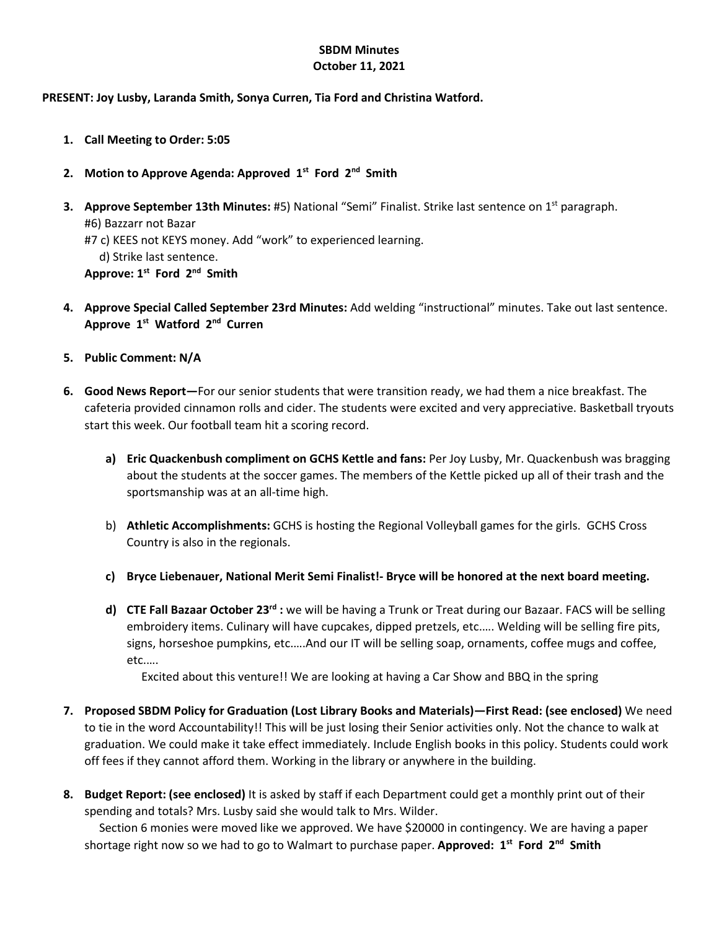## **SBDM Minutes October 11, 2021**

## **PRESENT: Joy Lusby, Laranda Smith, Sonya Curren, Tia Ford and Christina Watford.**

- **1. Call Meeting to Order: 5:05**
- **2. Motion to Approve Agenda: Approved 1st Ford 2nd Smith**
- **3. Approve September 13th Minutes:** #5) National "Semi" Finalist. Strike last sentence on 1<sup>st</sup> paragraph. #6) Bazzarr not Bazar #7 c) KEES not KEYS money. Add "work" to experienced learning. d) Strike last sentence. **Approve: 1st Ford 2nd Smith**
- **4. Approve Special Called September 23rd Minutes:** Add welding "instructional" minutes. Take out last sentence. **Approve 1st Watford 2nd Curren**
- **5. Public Comment: N/A**
- **6. Good News Report—**For our senior students that were transition ready, we had them a nice breakfast. The cafeteria provided cinnamon rolls and cider. The students were excited and very appreciative. Basketball tryouts start this week. Our football team hit a scoring record.
	- **a) Eric Quackenbush compliment on GCHS Kettle and fans:** Per Joy Lusby, Mr. Quackenbush was bragging about the students at the soccer games. The members of the Kettle picked up all of their trash and the sportsmanship was at an all-time high.
	- b) **Athletic Accomplishments:** GCHS is hosting the Regional Volleyball games for the girls. GCHS Cross Country is also in the regionals.
	- **c) Bryce Liebenauer, National Merit Semi Finalist!- Bryce will be honored at the next board meeting.**
	- **d) CTE Fall Bazaar October 23rd :** we will be having a Trunk or Treat during our Bazaar. FACS will be selling embroidery items. Culinary will have cupcakes, dipped pretzels, etc.…. Welding will be selling fire pits, signs, horseshoe pumpkins, etc.....And our IT will be selling soap, ornaments, coffee mugs and coffee, etc.….

Excited about this venture!! We are looking at having a Car Show and BBQ in the spring

- **7. Proposed SBDM Policy for Graduation (Lost Library Books and Materials)—First Read: (see enclosed)** We need to tie in the word Accountability!! This will be just losing their Senior activities only. Not the chance to walk at graduation. We could make it take effect immediately. Include English books in this policy. Students could work off fees if they cannot afford them. Working in the library or anywhere in the building.
- **8. Budget Report: (see enclosed)** It is asked by staff if each Department could get a monthly print out of their spending and totals? Mrs. Lusby said she would talk to Mrs. Wilder.

 Section 6 monies were moved like we approved. We have \$20000 in contingency. We are having a paper shortage right now so we had to go to Walmart to purchase paper. Approved: 1<sup>st</sup> Ford 2<sup>nd</sup> Smith